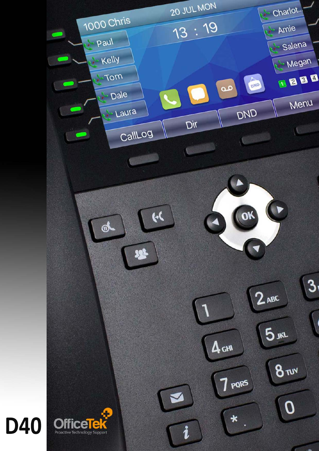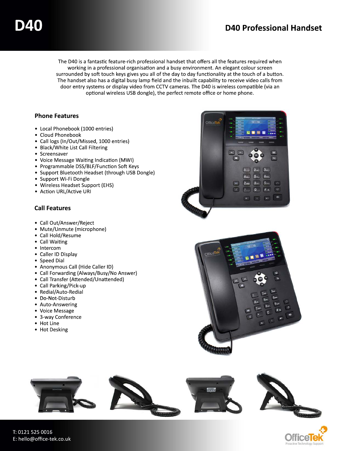The D40 is a fantastic feature-rich professional handset that offers all the features required when working in a professional organisation and a busy environment. An elegant colour screen surrounded by soft touch keys gives you all of the day to day functionality at the touch of a button. The handset also has a digital busy lamp field and the inbuilt capability to receive video calls from door entry systems or display video from CCTV cameras. The D40 is wireless compatible (via an optional wireless USB dongle), the perfect remote office or home phone.

## **Phone Features**

- Local Phonebook (1000 entries)
- Cloud Phonebook
- Call logs (In/Out/Missed, 1000 entries)
- Black/White List Call Filtering
- Screensaver
- Voice Message Waiting Indication (MWI)
- Programmable DSS/BLF/Function Soft Keys
- Support Bluetooth Headset (through USB Dongle)
- Support Wi-Fi Dongle
- Wireless Headset Support (EHS)
- Action URL/Active URI

## **Call Features**

- Call Out/Answer/Reject
- Mute/Unmute (microphone)
- Call Hold/Resume
- Call Waiting
- Intercom
- Caller ID Display
- Speed Dial
- Anonymous Call (Hide Caller ID)
- Call Forwarding (Always/Busy/No Answer)
- Call Transfer (Attended/Unattended)
- Call Parking/Pick-up
- Redial/Auto-Redial
- Do-Not-Disturb
- Auto-Answering
- Voice Message
- 3-way Conference
- Hot Line
- Hot Desking